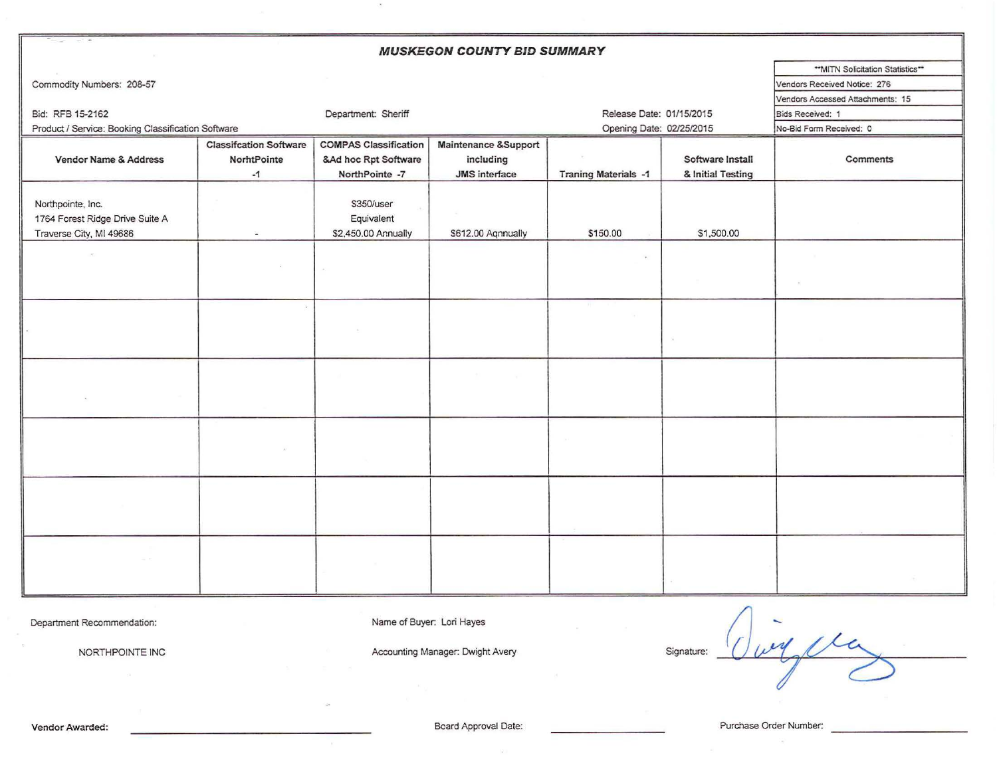| <b>MUSKEGON COUNTY BID SUMMARY</b>                 |                               |                              |                      |                             |                   |                                  |  |  |  |  |
|----------------------------------------------------|-------------------------------|------------------------------|----------------------|-----------------------------|-------------------|----------------------------------|--|--|--|--|
|                                                    |                               |                              |                      |                             |                   | "MITN Solicitation Statistics"   |  |  |  |  |
| Commodity Numbers: 208-57                          |                               |                              |                      |                             |                   | Vendors Received Notice: 276     |  |  |  |  |
|                                                    |                               |                              |                      |                             |                   | Vendors Accessed Attachments: 15 |  |  |  |  |
| Bid: RFB 15-2162                                   | Department: Sheriff           | Release Date: 01/15/2015     |                      | Bids Received: 1            |                   |                                  |  |  |  |  |
| Product / Service: Booking Classification Software |                               | Opening Date: 02/25/2015     |                      | No-Bid Form Received: 0     |                   |                                  |  |  |  |  |
|                                                    | <b>Classifcation Software</b> | <b>COMPAS Classification</b> | Maintenance &Support |                             |                   |                                  |  |  |  |  |
| Vendor Name & Address                              | NorhtPointe                   | &Ad hoc Rpt Software         | including            |                             | Software Install  | Comments                         |  |  |  |  |
|                                                    | $-1$                          | NorthPointe -7               | JMS interface        | <b>Traning Materials -1</b> | & Initial Testing |                                  |  |  |  |  |
|                                                    |                               |                              |                      |                             |                   |                                  |  |  |  |  |
| Northpointe, Inc.                                  |                               | \$350/user                   |                      |                             |                   |                                  |  |  |  |  |
| 1764 Forest Ridge Drive Suite A                    |                               | Equivalent                   |                      |                             |                   |                                  |  |  |  |  |
| Traverse City, MI 49686                            |                               | \$2,450.00 Annually          | \$612.00 Aqnnually   | \$150.00                    | \$1,500.00        |                                  |  |  |  |  |
|                                                    |                               |                              |                      |                             |                   |                                  |  |  |  |  |
|                                                    |                               |                              |                      |                             |                   |                                  |  |  |  |  |
|                                                    |                               |                              |                      |                             |                   |                                  |  |  |  |  |
|                                                    |                               |                              |                      |                             |                   |                                  |  |  |  |  |
|                                                    |                               |                              |                      |                             |                   |                                  |  |  |  |  |
|                                                    |                               |                              |                      |                             |                   |                                  |  |  |  |  |
|                                                    |                               |                              |                      |                             |                   |                                  |  |  |  |  |
|                                                    |                               |                              |                      |                             |                   |                                  |  |  |  |  |
|                                                    |                               |                              |                      |                             |                   |                                  |  |  |  |  |
|                                                    |                               |                              |                      |                             |                   |                                  |  |  |  |  |
|                                                    |                               |                              |                      |                             |                   |                                  |  |  |  |  |
|                                                    |                               |                              |                      |                             |                   |                                  |  |  |  |  |
|                                                    |                               |                              |                      |                             |                   |                                  |  |  |  |  |
|                                                    |                               |                              |                      |                             |                   |                                  |  |  |  |  |
|                                                    |                               |                              |                      |                             |                   |                                  |  |  |  |  |
|                                                    |                               |                              |                      |                             |                   |                                  |  |  |  |  |
|                                                    |                               |                              |                      |                             |                   |                                  |  |  |  |  |
|                                                    |                               |                              |                      |                             |                   |                                  |  |  |  |  |
|                                                    |                               |                              |                      |                             |                   |                                  |  |  |  |  |
|                                                    |                               |                              |                      |                             |                   |                                  |  |  |  |  |
|                                                    |                               |                              |                      |                             |                   |                                  |  |  |  |  |
|                                                    |                               |                              |                      |                             |                   |                                  |  |  |  |  |
|                                                    |                               |                              |                      |                             |                   |                                  |  |  |  |  |
|                                                    |                               |                              |                      |                             |                   |                                  |  |  |  |  |

Department Recommendation: Name of Buyer: Lori Hayes

 $\alpha$ 

NORTHPOINTE INC Signature: Accounting Manager: Dwight Avery Signature: Signature:

wy the

 $|\vec{u}|$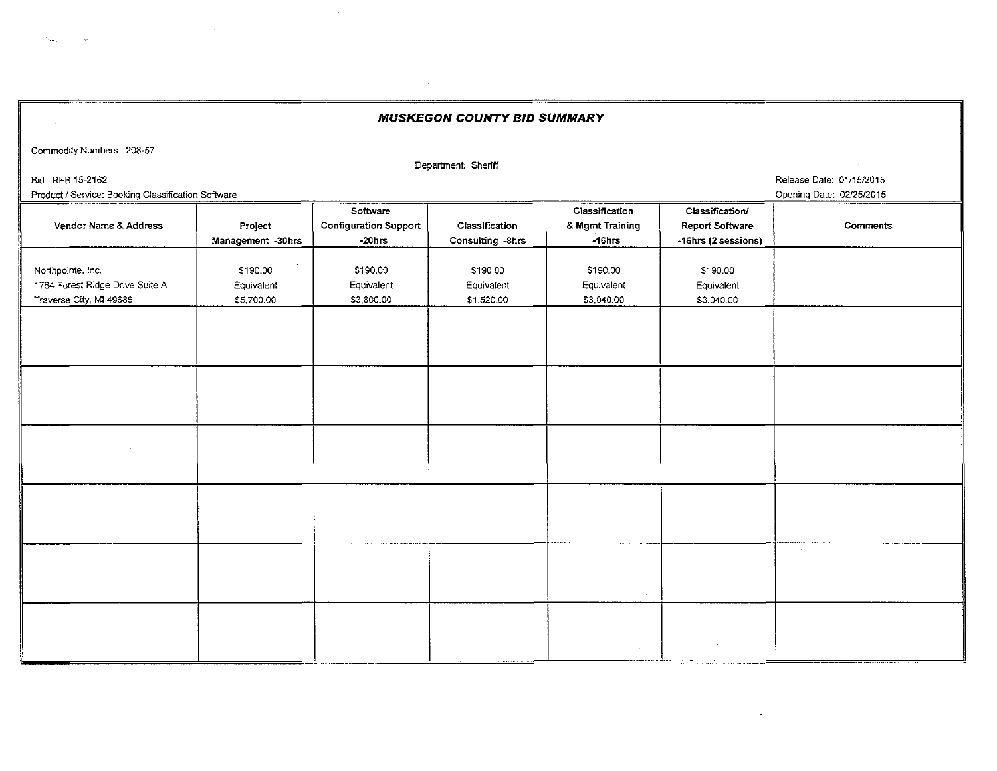MUSKEGON COUNTY BID SUMMARY

Commodity Numbers: 208-57

Department: Sheriff

 $\sim$ 

Bid: RFB 15-2162 Release Date: 01/15/2015

Product / Service: Booking Classification Software **Opening Date: 02/25/2015** Cpening Date: 02/25/2015

 $\sim$ 

| Vendor Name & Address           | Project           | Software<br><b>Configuration Support</b> | Classification   | Classification<br>& Mgmt Training | Classification/<br><b>Report Software</b> | Comments |
|---------------------------------|-------------------|------------------------------------------|------------------|-----------------------------------|-------------------------------------------|----------|
|                                 | Management -30hrs | $-20$ hrs                                | Consulting -8hrs | $-16hrs$                          | -16hrs (2 sessions)                       |          |
|                                 |                   |                                          |                  |                                   |                                           |          |
| Northpointe, Inc.               | \$190.00          | \$190.00                                 | \$190.00         | \$190.00                          | \$190.00                                  |          |
| 1764 Forest Ridge Drive Suite A | Equivalent        | Equivalent                               | Equivalent       | Equivalent                        | Equivalent                                |          |
| Traverse City, MI 49686         | \$5,700.00        | \$3,800.00                               | \$1,520.00       | \$3,040.00                        | \$3,040.00                                |          |
|                                 |                   |                                          |                  |                                   |                                           |          |
|                                 |                   |                                          |                  |                                   |                                           |          |
|                                 |                   |                                          |                  |                                   |                                           |          |
|                                 |                   |                                          |                  |                                   |                                           |          |
|                                 |                   |                                          |                  |                                   |                                           |          |
|                                 |                   |                                          |                  |                                   |                                           |          |
|                                 |                   |                                          |                  |                                   |                                           |          |
|                                 |                   |                                          |                  |                                   |                                           |          |
|                                 |                   |                                          |                  |                                   |                                           |          |
|                                 |                   |                                          |                  |                                   |                                           |          |
|                                 |                   |                                          |                  |                                   |                                           |          |
|                                 |                   |                                          |                  |                                   |                                           |          |
|                                 |                   |                                          |                  |                                   |                                           |          |
|                                 |                   |                                          |                  |                                   |                                           |          |
|                                 |                   |                                          |                  |                                   |                                           |          |
|                                 |                   |                                          |                  |                                   |                                           |          |
|                                 |                   |                                          |                  |                                   |                                           |          |
|                                 |                   |                                          |                  |                                   |                                           |          |
|                                 |                   |                                          |                  |                                   |                                           |          |
|                                 |                   |                                          |                  |                                   |                                           |          |
|                                 |                   |                                          |                  |                                   |                                           |          |
|                                 |                   |                                          |                  |                                   |                                           |          |
|                                 |                   |                                          |                  |                                   |                                           |          |
|                                 |                   |                                          |                  |                                   |                                           |          |

 $\label{eq:2.1} \frac{1}{\sqrt{2}}\int_{\mathbb{R}^3}\frac{1}{\sqrt{2}}\left(\frac{1}{\sqrt{2}}\right)^2\left(\frac{1}{\sqrt{2}}\right)^2\left(\frac{1}{\sqrt{2}}\right)^2\left(\frac{1}{\sqrt{2}}\right)^2\left(\frac{1}{\sqrt{2}}\right)^2\left(\frac{1}{\sqrt{2}}\right)^2.$ 

 $\sim$